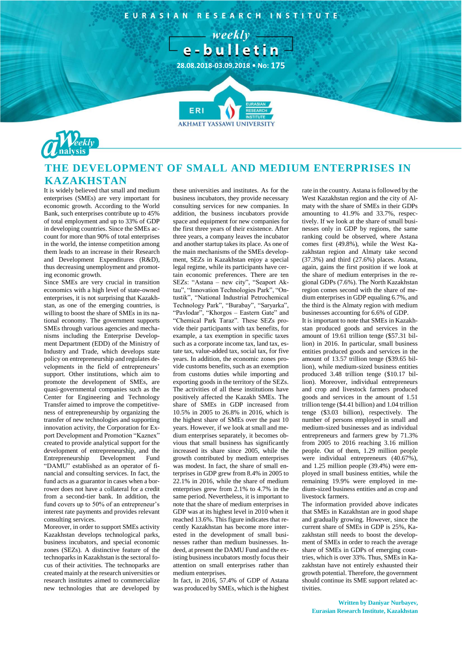EURASIAN RESEARCH INSTITUTE

 $-$  weekly  $$ e-bulletin-

**28.08.2018-03.09.2018 • No: 175**

**7**



## **THE DEVELOPMENT OF SMALL AND MEDIUM ENTERPRISES IN KAZAKHSTAN**

It is widely believed that small and medium enterprises (SMEs) are very important for economic growth. According to the World Bank, such enterprises contribute up to 45% of total employment and up to 33% of GDP in developing countries. Since the SMEs account for more than 90% of total enterprises in the world, the intense competition among them leads to an increase in their Research and Development Expenditures (R&D), thus decreasing unemployment and promoting economic growth.

Since SMEs are very crucial in transition economics with a high level of state-owned enterprises, it is not surprising that Kazakhstan, as one of the emerging countries, is willing to boost the share of SMEs in its national economy. The government supports SMEs through various agencies and mechanisms including the Enterprise Development Department (EDD) of the Ministry of Industry and Trade, which develops state policy on entrepreneurship and regulates developments in the field of entrepreneurs' support. Other institutions, which aim to promote the development of SMEs, are quasi-governmental companies such as the Center for Engineering and Technology Transfer aimed to improve the competitiveness of entrepreneurship by organizing the transfer of new technologies and supporting innovation activity, the Corporation for Export Development and Promotion "Kaznex" created to provide analytical support for the development of entrepreneurship, and the Entrepreneurship Development Fund "DAMU" established as an operator of financial and consulting services. In fact, the fund acts as a guarantor in cases when a borrower does not have a collateral for a credit from a second-tier bank. In addition, the fund covers up to 50% of an entrepreneur's interest rate payments and provides relevant consulting services.

Moreover, in order to support SMEs activity Kazakhstan develops technological parks, business incubators, and special economic zones (SEZs). A distinctive feature of the technoparks in Kazakhstan is the sectoral focus of their activities. The technoparks are created mainly at the research universities or research institutes aimed to commercialize new technologies that are developed by

these universities and institutes. As for the business incubators, they provide necessary consulting services for new companies. In addition, the business incubators provide space and equipment for new companies for the first three years of their existence. After three years, a company leaves the incubator and another startup takes its place. As one of the main mechanisms of the SMEs development, SEZs in Kazakhstan enjoy a special legal regime, while its participants have certain economic preferences. There are ten SEZs: "Astana – new city", "Seaport Aktau", "Innovation Technologies Park", "Ontustik", "National Industrial Petrochemical Technology Park", "Burabay", "Saryarka", "Pavlodar", "Khorgos – Eastern Gate" and "Chemical Park Taraz". These SEZs provide their participants with tax benefits, for example, a tax exemption in specific taxes such as a corporate income tax, land tax, estate tax, value-added tax, social tax, for five years. In addition, the economic zones provide customs benefits, such as an exemption from customs duties while importing and exporting goods in the territory of the SEZs. The activities of all these institutions have positively affected the Kazakh SMEs. The share of SMEs in GDP increased from 10.5% in 2005 to 26.8% in 2016, which is the highest share of SMEs over the past 10 years. However, if we look at small and medium enterprises separately, it becomes obvious that small business has significantly increased its share since 2005, while the growth contributed by medium enterprises was modest. In fact, the share of small enterprises in GDP grew from 8.4% in 2005 to 22.1% in 2016, while the share of medium enterprises grew from 2.1% to 4.7% in the same period. Nevertheless, it is important to note that the share of medium enterprises in GDP was at its highest level in 2010 when it reached 13.6%. This figure indicates that recently Kazakhstan has become more interested in the development of small businesses rather than medium businesses. Indeed, at present the DAMU Fund and the existing business incubators mostly focus their attention on small enterprises rather than medium enterprises.

In fact, in 2016, 57.4% of GDP of Astana was produced by SMEs, which is the highest rate in the country. Astana is followed by the West Kazakhstan region and the city of Almaty with the share of SMEs in their GDPs amounting to 41.9% and 33.7%, respectively. If we look at the share of small businesses only in GDP by regions, the same ranking could be observed, where Astana comes first (49.8%), while the West Kazakhstan region and Almaty take second (37.3%) and third (27.6%) places. Astana, again, gains the first position if we look at the share of medium enterprises in the regional GDPs (7.6%). The North Kazakhstan region comes second with the share of medium enterprises in GDP equaling 6.7%, and the third is the Almaty region with medium businesses accounting for 6.6% of GDP. It is important to note that SMEs in Kazakh-

stan produced goods and services in the amount of 19.61 trillion tenge (\$57.31 billion) in 2016. In particular, small business entities produced goods and services in the amount of 13.57 trillion tenge (\$39.65 billion), while medium-sized business entities produced 3.48 trillion tenge (\$10.17 billion). Moreover, individual entrepreneurs and crop and livestock farmers produced goods and services in the amount of 1.51 trillion tenge (\$4.41 billion) and 1.04 trillion tenge (\$3.03 billion), respectively. The number of persons employed in small and medium-sized businesses and as individual entrepreneurs and farmers grew by 71.3% from 2005 to 2016 reaching 3.16 million people. Out of them, 1.29 million people were individual entrepreneurs (40.67%), and 1.25 million people (39.4%) were employed in small business entities, while the remaining 19.9% were employed in medium-sized business entities and as crop and livestock farmers.

The information provided above indicates that SMEs in Kazakhstan are in good shape and gradually growing. However, since the current share of SMEs in GDP is 25%, Kazakhstan still needs to boost the development of SMEs in order to reach the average share of SMEs in GDPs of emerging countries, which is over 33%. Thus, SMEs in Kazakhstan have not entirely exhausted their growth potential. Therefore, the government should continue its SME support related activities.

**Written by Daniyar Nurbayev, Eurasian Research Institute, Kazakhstan**